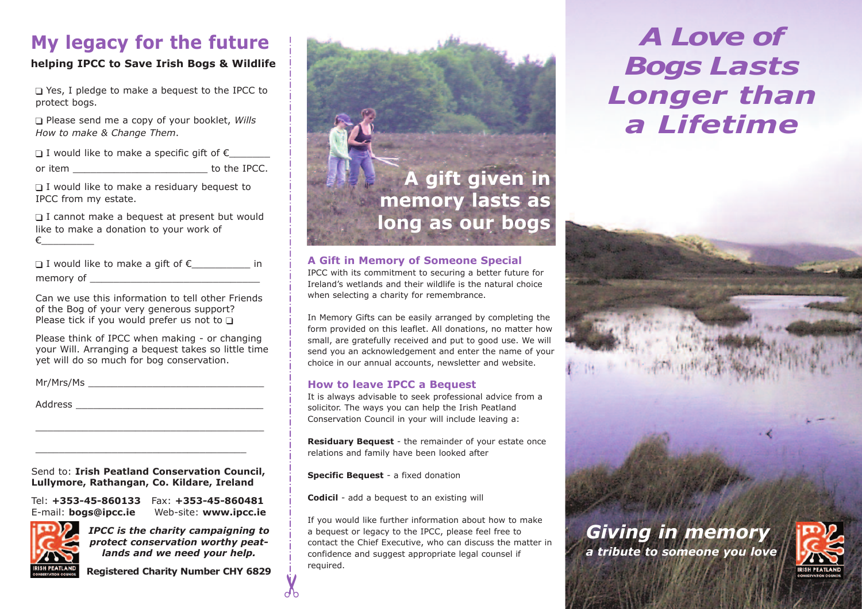## **My legacy for the future**

#### **helping IPCC to Save Irish Bogs & Wildlife**

❑ Yes, I pledge to make a bequest to the IPCC to protect bogs.

❑ Please send me a copy of your booklet, *Wills How to make & Change Them*.

 $\Box$  I would like to make a specific gift of  $\epsilon$ 

or item \_\_\_\_\_\_\_\_\_\_\_\_\_\_\_\_\_\_\_\_\_\_\_ to the IPCC.

 $\Box$  I would like to make a residuary bequest to IPCC from my estate.

□ I cannot make a bequest at present but would like to make a donation to your work of €\_\_\_\_\_\_\_\_\_

| □ I would like to make a gift of $\epsilon$ |  | in |
|---------------------------------------------|--|----|
| memory of                                   |  |    |

Can we use this information to tell other Friends of the Bog of your very generous support? Please tick if you would prefer us not to  $\Box$ 

Please think of IPCC when making - or changing your Will. Arranging a bequest takes so little time yet will do so much for bog conservation.

Mr/Mrs/Ms \_\_\_\_\_\_\_\_\_\_\_\_\_\_\_\_\_\_\_\_\_\_\_\_\_\_\_\_\_\_

Address  $\overline{\phantom{a}}$ 

Send to: **Irish Peatland Conservation Council, Lullymore, Rathangan, Co. Kildare, Ireland**

\_\_\_\_\_\_\_\_\_\_\_\_\_\_\_\_\_\_\_\_\_\_\_\_\_\_\_\_\_\_\_\_\_\_\_\_\_\_\_

\_\_\_\_\_\_\_\_\_\_\_\_\_\_\_\_\_\_\_\_\_\_\_\_\_\_\_\_\_\_\_\_\_\_\_\_

Tel: **+353-45-860133** Fax: **+353-45-860481** E-mail: **bogs@ipcc.ie** Web-site: **www.ipcc.ie**



*IPCC is the charity campaigning to protect conservation worthy peatlands and we need your help.*

**Registered Charity Number CHY 6829**



#### **A Gift in Memory of Someone Special**

IPCC with its commitment to securing a better future for Ireland's wetlands and their wildlife is the natural choice when selecting a charity for remembrance.

In Memory Gifts can be easily arranged by completing the form provided on this leaflet. All donations, no matter how small, are gratefully received and put to good use. We will send you an acknowledgement and enter the name of your choice in our annual accounts, newsletter and website.

#### **How to leave IPCC a Bequest**

It is always advisable to seek professional advice from a solicitor. The ways you can help the Irish Peatland Conservation Council in your will include leaving a:

**Residuary Bequest** *-* the remainder of your estate once relations and family have been looked after

**Specific Bequest** *-* a fixed donation

✂

**Codicil** *-* add a bequest to an existing will

If you would like further information about how to make a bequest or legacy to the IPCC, please feel free to contact the Chief Executive, who can discuss the matter in confidence and suggest appropriate legal counsel if required.

# *A Love of Bogs Lasts Longer than a Lifetime*